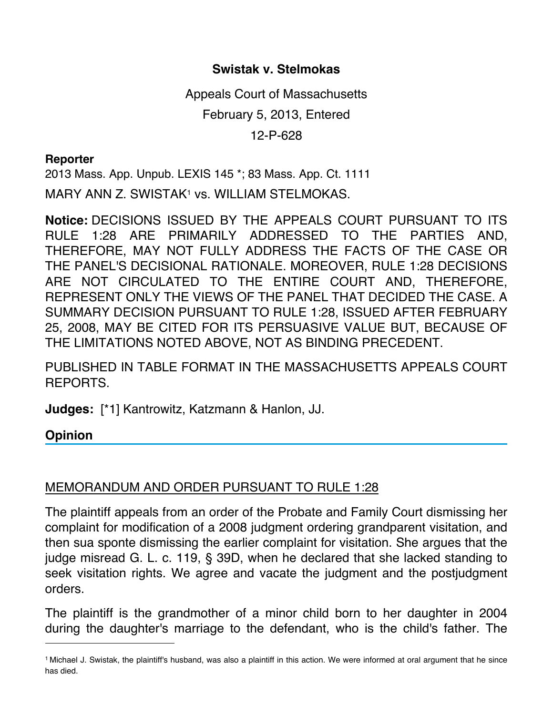## **Swistak v. Stelmokas**

Appeals Court of Massachusetts February 5, 2013, Entered 12-P-628

## **Reporter**

2013 Mass. App. Unpub. LEXIS 145 \*; 83 Mass. App. Ct. 1111 MARY ANN Z. SWISTAK<sup>1</sup> vs. WILLIAM STELMOKAS.

**Notice:** DECISIONS ISSUED BY THE APPEALS COURT PURSUANT TO ITS RULE 1:28 ARE PRIMARILY ADDRESSED TO THE PARTIES AND, THEREFORE, MAY NOT FULLY ADDRESS THE FACTS OF THE CASE OR THE PANEL'S DECISIONAL RATIONALE. MOREOVER, RULE 1:28 DECISIONS ARE NOT CIRCULATED TO THE ENTIRE COURT AND, THEREFORE, REPRESENT ONLY THE VIEWS OF THE PANEL THAT DECIDED THE CASE. A SUMMARY DECISION PURSUANT TO RULE 1:28, ISSUED AFTER FEBRUARY 25, 2008, MAY BE CITED FOR ITS PERSUASIVE VALUE BUT, BECAUSE OF THE LIMITATIONS NOTED ABOVE, NOT AS BINDING PRECEDENT.

PUBLISHED IN TABLE FORMAT IN THE MASSACHUSETTS APPEALS COURT REPORTS.

**Judges:** [\*1] Kantrowitz, Katzmann & Hanlon, JJ.

## **Opinion**

## MEMORANDUM AND ORDER PURSUANT TO RULE 1:28

The plaintiff appeals from an order of the Probate and Family Court dismissing her complaint for modification of a 2008 judgment ordering grandparent visitation, and then sua sponte dismissing the earlier complaint for visitation. She argues that the judge misread G. L. c. 119, § 39D, when he declared that she lacked standing to seek visitation rights. We agree and vacate the judgment and the postjudgment orders.

The plaintiff is the grandmother of a minor child born to her daughter in 2004 during the daughter's marriage to the defendant, who is the child's father. The

<sup>1</sup> Michael J. Swistak, the plaintiff's husband, was also a plaintiff in this action. We were informed at oral argument that he since has died.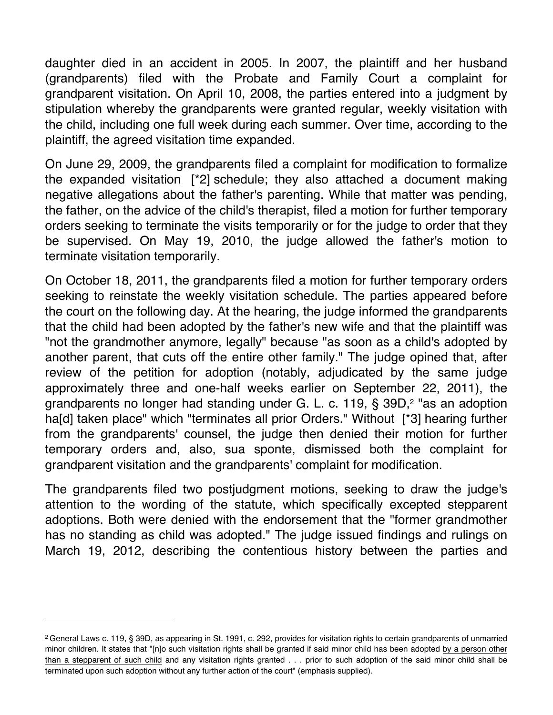daughter died in an accident in 2005. In 2007, the plaintiff and her husband (grandparents) filed with the Probate and Family Court a complaint for grandparent visitation. On April 10, 2008, the parties entered into a judgment by stipulation whereby the grandparents were granted regular, weekly visitation with the child, including one full week during each summer. Over time, according to the plaintiff, the agreed visitation time expanded.

On June 29, 2009, the grandparents filed a complaint for modification to formalize the expanded visitation [\*2] schedule; they also attached a document making negative allegations about the father's parenting. While that matter was pending, the father, on the advice of the child's therapist, filed a motion for further temporary orders seeking to terminate the visits temporarily or for the judge to order that they be supervised. On May 19, 2010, the judge allowed the father's motion to terminate visitation temporarily.

On October 18, 2011, the grandparents filed a motion for further temporary orders seeking to reinstate the weekly visitation schedule. The parties appeared before the court on the following day. At the hearing, the judge informed the grandparents that the child had been adopted by the father's new wife and that the plaintiff was "not the grandmother anymore, legally" because "as soon as a child's adopted by another parent, that cuts off the entire other family." The judge opined that, after review of the petition for adoption (notably, adjudicated by the same judge approximately three and one-half weeks earlier on September 22, 2011), the grandparents no longer had standing under G. L. c. 119, § 39D,<sup>2</sup> "as an adoption ha[d] taken place" which "terminates all prior Orders." Without [\*3] hearing further from the grandparents' counsel, the judge then denied their motion for further temporary orders and, also, sua sponte, dismissed both the complaint for grandparent visitation and the grandparents' complaint for modification.

The grandparents filed two postjudgment motions, seeking to draw the judge's attention to the wording of the statute, which specifically excepted stepparent adoptions. Both were denied with the endorsement that the "former grandmother has no standing as child was adopted." The judge issued findings and rulings on March 19, 2012, describing the contentious history between the parties and

<sup>2</sup> General Laws c. 119, § 39D, as appearing in St. 1991, c. 292, provides for visitation rights to certain grandparents of unmarried minor children. It states that "[n]o such visitation rights shall be granted if said minor child has been adopted by a person other than a stepparent of such child and any visitation rights granted . . . prior to such adoption of the said minor child shall be terminated upon such adoption without any further action of the court" (emphasis supplied).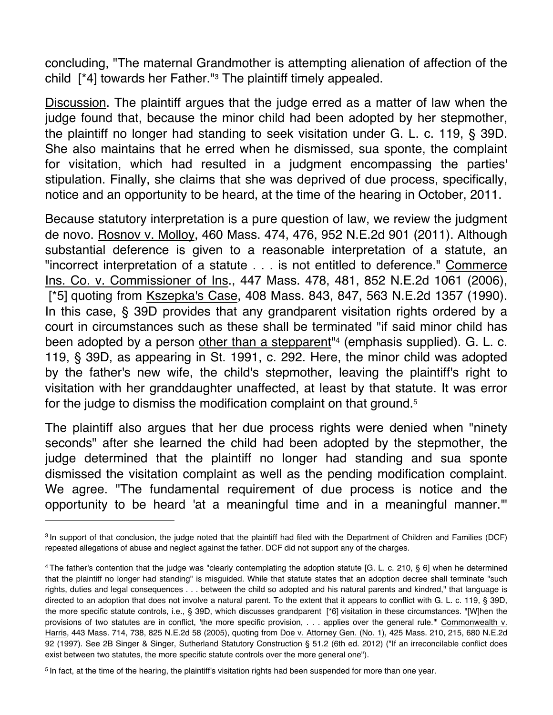concluding, "The maternal Grandmother is attempting alienation of affection of the child  $[^*4]$  towards her Father."<sup>3</sup> The plaintiff timely appealed.

Discussion. The plaintiff argues that the judge erred as a matter of law when the judge found that, because the minor child had been adopted by her stepmother, the plaintiff no longer had standing to seek visitation under G. L. c. 119, § 39D. She also maintains that he erred when he dismissed, sua sponte, the complaint for visitation, which had resulted in a judgment encompassing the parties' stipulation. Finally, she claims that she was deprived of due process, specifically, notice and an opportunity to be heard, at the time of the hearing in October, 2011.

Because statutory interpretation is a pure question of law, we review the judgment de novo. Rosnov v. Molloy, 460 Mass. 474, 476, 952 N.E.2d 901 (2011). Although substantial deference is given to a reasonable interpretation of a statute, an "incorrect interpretation of a statute . . . is not entitled to deference." Commerce Ins. Co. v. Commissioner of Ins., 447 Mass. 478, 481, 852 N.E.2d 1061 (2006), [\*5] quoting from Kszepka's Case, 408 Mass. 843, 847, 563 N.E.2d 1357 (1990). In this case, § 39D provides that any grandparent visitation rights ordered by a court in circumstances such as these shall be terminated "if said minor child has been adopted by a person other than a stepparent<sup>"4</sup> (emphasis supplied). G. L. c. 119, § 39D, as appearing in St. 1991, c. 292. Here, the minor child was adopted by the father's new wife, the child's stepmother, leaving the plaintiff's right to visitation with her granddaughter unaffected, at least by that statute. It was error for the judge to dismiss the modification complaint on that ground.5

The plaintiff also argues that her due process rights were denied when "ninety seconds" after she learned the child had been adopted by the stepmother, the judge determined that the plaintiff no longer had standing and sua sponte dismissed the visitation complaint as well as the pending modification complaint. We agree. "The fundamental requirement of due process is notice and the opportunity to be heard 'at a meaningful time and in a meaningful manner.'"

<sup>3</sup> In support of that conclusion, the judge noted that the plaintiff had filed with the Department of Children and Families (DCF) repeated allegations of abuse and neglect against the father. DCF did not support any of the charges.

<sup>4</sup> The father's contention that the judge was "clearly contemplating the adoption statute [G. L. c. 210, § 6] when he determined that the plaintiff no longer had standing" is misguided. While that statute states that an adoption decree shall terminate "such rights, duties and legal consequences . . . between the child so adopted and his natural parents and kindred," that language is directed to an adoption that does not involve a natural parent. To the extent that it appears to conflict with G. L. c. 119, § 39D, the more specific statute controls, i.e., § 39D, which discusses grandparent [\*6] visitation in these circumstances. "[W]hen the provisions of two statutes are in conflict, 'the more specific provision, . . . applies over the general rule.'" Commonwealth v. Harris, 443 Mass. 714, 738, 825 N.E.2d 58 (2005), quoting from Doe v. Attorney Gen. (No. 1), 425 Mass. 210, 215, 680 N.E.2d 92 (1997). See 2B Singer & Singer, Sutherland Statutory Construction § 51.2 (6th ed. 2012) ("If an irreconcilable conflict does exist between two statutes, the more specific statute controls over the more general one").

<sup>5</sup> In fact, at the time of the hearing, the plaintiff's visitation rights had been suspended for more than one year.